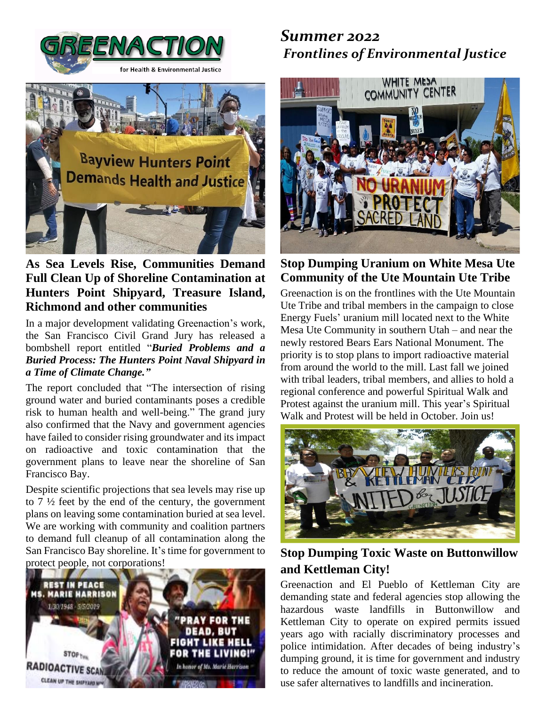



### **As Sea Levels Rise, Communities Demand Full Clean Up of Shoreline Contamination at Hunters Point Shipyard, Treasure Island, Richmond and other communities**

In a major development validating Greenaction's work, the San Francisco Civil Grand Jury has released a bombshell report entitled "*Buried [Problems](https://greenaction.org/wp-content/uploads/2022/06/2022-CGJ-Report_Buried-Problems-and-a-Buried-Process-The-Hunters-Point-Naval-Shipyard-in-a-Time-of-Climate-Change.pdf) and a Buried Process: The Hunters Point Naval [Shipyard](https://greenaction.org/wp-content/uploads/2022/06/2022-CGJ-Report_Buried-Problems-and-a-Buried-Process-The-Hunters-Point-Naval-Shipyard-in-a-Time-of-Climate-Change.pdf) in a Time of Climate [Change."](https://greenaction.org/wp-content/uploads/2022/06/2022-CGJ-Report_Buried-Problems-and-a-Buried-Process-The-Hunters-Point-Naval-Shipyard-in-a-Time-of-Climate-Change.pdf)*

The report concluded that "The intersection of rising ground water and buried contaminants poses a credible risk to human health and well-being." The grand jury also confirmed that the Navy and government agencies have failed to consider rising groundwater and its impact on radioactive and toxic contamination that the government plans to leave near the shoreline of San Francisco Bay.

Despite scientific projections that sea levels may rise up to  $7\frac{1}{2}$  feet by the end of the century, the government plans on leaving some contamination buried at sea level. We are working with community and coalition partners to demand full cleanup of all contamination along the San Francisco Bay shoreline. It's time for government to protect people, not corporations!



# *Summer 2022 Frontlines of Environmental Justice*



### **Stop Dumping Uranium on White Mesa Ute Community of the Ute Mountain Ute Tribe**

Greenaction is on the frontlines with the Ute Mountain Ute Tribe and tribal members in the campaign to close Energy Fuels' uranium mill located next to the White Mesa Ute Community in southern Utah – and near the newly restored Bears Ears National Monument. The priority is to stop plans to import radioactive material from around the world to the mill. Last fall we joined with tribal leaders, tribal members, and allies to hold a regional conference and powerful Spiritual Walk and Protest against the uranium mill. This year's Spiritual Walk and Protest will be held in October. Join us!



## **Stop Dumping Toxic Waste on Buttonwillow and Kettleman City!**

Greenaction and El Pueblo of Kettleman City are demanding state and federal agencies stop allowing the hazardous waste landfills in Buttonwillow and Kettleman City to operate on expired permits issued years ago with racially discriminatory processes and police intimidation. After decades of being industry's dumping ground, it is time for government and industry to reduce the amount of toxic waste generated, and to use safer alternatives to landfills and incineration.